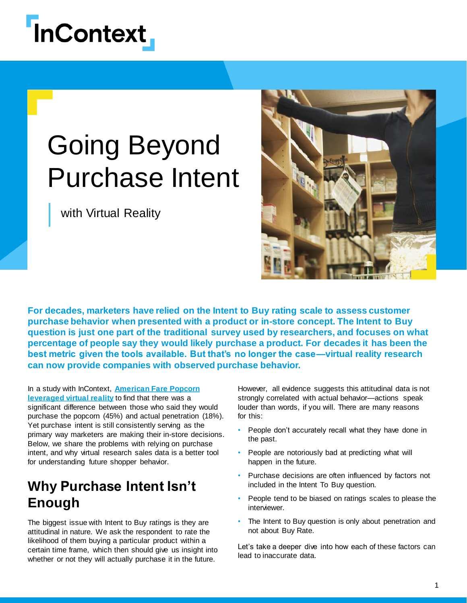

# Going Beyond Purchase Intent

with Virtual Reality



**For decades, marketers have relied on the Intent to Buy rating scale to assess customer purchase behavior when presented with a product or in-store concept. The Intent to Buy question is just one part of the traditional survey used by researchers, and focuses on what percentage of people say they would likely purchase a product. For decades it has been the best metric given the tools available. But that's no longer the case—virtual reality research can now provide companies with observed purchase behavior.**

In a study with InContext, **American Fare Popcorn [leveraged virtual reality](https://www.incontextsolutions.com/category/case-studies/)** to find that there was a significant difference between those who said they would purchase the popcorn (45%) and actual penetration (18%). Yet purchase intent is still consistently serving as the primary way marketers are making their in-store decisions. Below, we share the problems with relying on purchase intent, and why virtual research sales data is a better tool for understanding future shopper behavior.

# **Why Purchase Intent Isn't Enough**

The biggest issue with Intent to Buy ratings is they are attitudinal in nature. We ask the respondent to rate the likelihood of them buying a particular product within a certain time frame, which then should give us insight into whether or not they will actually purchase it in the future.

However, all evidence suggests this attitudinal data is not strongly correlated with actual behavior—actions speak louder than words, if you will. There are many reasons for this:

- People don't accurately recall what they have done in the past.
- People are notoriously bad at predicting what will happen in the future.
- Purchase decisions are often influenced by factors not included in the Intent To Buy question.
- People tend to be biased on ratings scales to please the interviewer.
- The Intent to Buy question is only about penetration and not about Buy Rate.

Let's take a deeper dive into how each of these factors can lead to inaccurate data.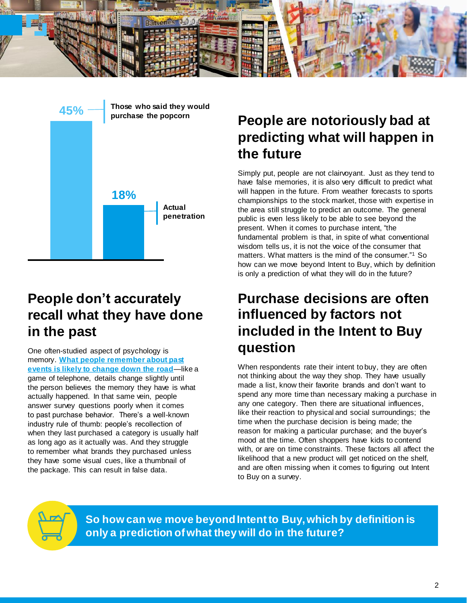



# **People don't accurately recall what they have done in the past**

One often-studied aspect of psychology is memory. **[What people remember about past](https://thehill.com/opinion/mark-mellman/246602-mark-mellman-mistaken-memories) [events is likely to change down the road](https://thehill.com/opinion/mark-mellman/246602-mark-mellman-mistaken-memories)**—like a game of telephone, details change slightly until the person believes the memory they have is what actually happened. In that same vein, people answer survey questions poorly when it comes to past purchase behavior. There's a well-known industry rule of thumb: people's recollection of when they last purchased a category is usually half as long ago as it actually was. And they struggle to remember what brands they purchased unless they have some visual cues, like a thumbnail of the package. This can result in false data.

# **People are notoriously bad at predicting what will happen in the future**

Simply put, people are not clairvoyant. Just as they tend to have false memories, it is also very difficult to predict what will happen in the future. From weather forecasts to sports championships to the stock market, those with expertise in the area still struggle to predict an outcome. The general public is even less likely to be able to see beyond the present. When it comes to purchase intent, "the fundamental problem is that, in spite of what conventional wisdom tells us, it is not the voice of the consumer that matters. What matters is the mind of the consumer."<sup>1</sup> So how can we move beyond Intent to Buy, which by definition is only a prediction of what they will do in the future?

# **Purchase decisions are often influenced by factors not included in the Intent to Buy question**

When respondents rate their intent to buy, they are often not thinking about the way they shop. They have usually made a list, know their favorite brands and don't want to spend any more time than necessary making a purchase in any one category. Then there are situational influences, like their reaction to physical and social surroundings; the time when the purchase decision is being made; the reason for making a particular purchase; and the buyer's mood at the time. Often shoppers have kids to contend with, or are on time constraints. These factors all affect the likelihood that a new product will get noticed on the shelf. and are often missing when it comes to figuring out Intent to Buy on a survey.



**So how can we move beyond Intent to Buy, which by definition is only a prediction of what they will do in the future?**